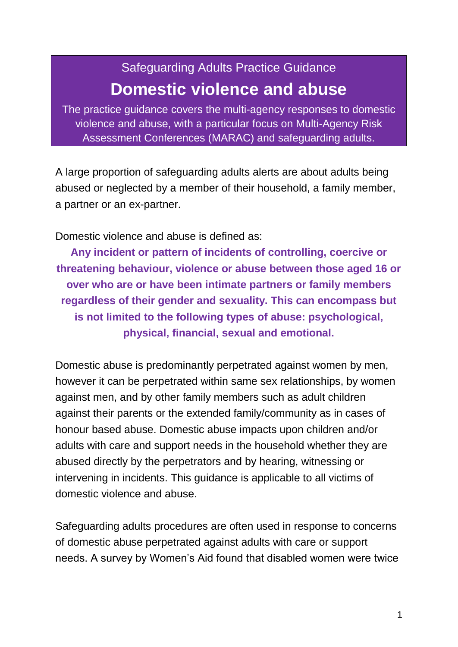# Safeguarding Adults Practice Guidance **Domestic violence and abuse**

The practice guidance covers the multi-agency responses to domestic violence and abuse, with a particular focus on Multi-Agency Risk Assessment Conferences (MARAC) and safeguarding adults.

A large proportion of safeguarding adults alerts are about adults being abused or neglected by a member of their household, a family member, a partner or an ex-partner.

Domestic violence and abuse is defined as:

**Any incident or pattern of incidents of controlling, coercive or threatening behaviour, violence or abuse between those aged 16 or over who are or have been intimate partners or family members regardless of their gender and sexuality. This can encompass but is not limited to the following types of abuse: psychological, physical, financial, sexual and emotional.**

Domestic abuse is predominantly perpetrated against women by men, however it can be perpetrated within same sex relationships, by women against men, and by other family members such as adult children against their parents or the extended family/community as in cases of honour based abuse. Domestic abuse impacts upon children and/or adults with care and support needs in the household whether they are abused directly by the perpetrators and by hearing, witnessing or intervening in incidents. This guidance is applicable to all victims of domestic violence and abuse.

Safeguarding adults procedures are often used in response to concerns of domestic abuse perpetrated against adults with care or support needs. A survey by Women's Aid found that disabled women were twice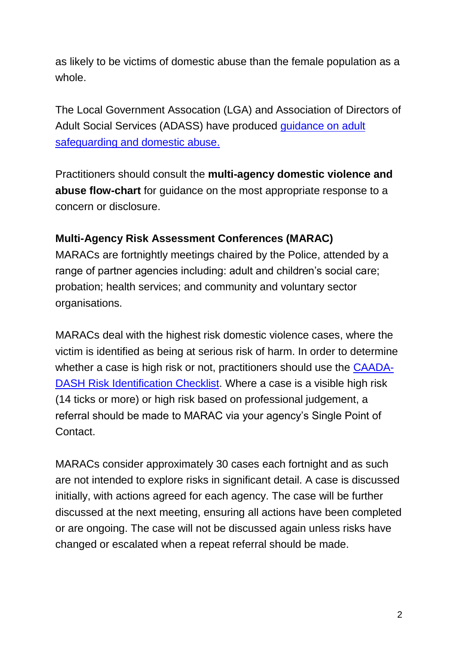as likely to be victims of domestic abuse than the female population as a whole.

The Local Government Assocation (LGA) and Association of Directors of Adult Social Services (ADASS) have produced [guidance on adult](Domestic%20violence%20and%20abuse%20is:%20Any%20incident%20or%20pattern%20of%20incidents%20of%20controlling,%20coercive%20or%20threatening%20behaviour,%20violence%20or%20abuse%20between%20those%20aged%2016%20or%20over%20who%20are%20or%20have%20been%20intimate%20partners%20or%20family%20members%20regardless%20of%20their%20gender%20and)  [safeguarding and domestic abuse.](Domestic%20violence%20and%20abuse%20is:%20Any%20incident%20or%20pattern%20of%20incidents%20of%20controlling,%20coercive%20or%20threatening%20behaviour,%20violence%20or%20abuse%20between%20those%20aged%2016%20or%20over%20who%20are%20or%20have%20been%20intimate%20partners%20or%20family%20members%20regardless%20of%20their%20gender%20and)

Practitioners should consult the **multi-agency domestic violence and abuse flow-chart** for guidance on the most appropriate response to a concern or disclosure.

## **Multi-Agency Risk Assessment Conferences (MARAC)**

MARACs are fortnightly meetings chaired by the Police, attended by a range of partner agencies including: adult and children's social care; probation; health services; and community and voluntary sector organisations.

MARACs deal with the highest risk domestic violence cases, where the victim is identified as being at serious risk of harm. In order to determine whether a case is high risk or not, practitioners should use the [CAADA-](http://www.caada.org.uk/marac/RIC_without_guidance.pdf)[DASH Risk Identification Checklist.](http://www.caada.org.uk/marac/RIC_without_guidance.pdf) Where a case is a visible high risk (14 ticks or more) or high risk based on professional judgement, a referral should be made to MARAC via your agency's Single Point of Contact.

MARACs consider approximately 30 cases each fortnight and as such are not intended to explore risks in significant detail. A case is discussed initially, with actions agreed for each agency. The case will be further discussed at the next meeting, ensuring all actions have been completed or are ongoing. The case will not be discussed again unless risks have changed or escalated when a repeat referral should be made.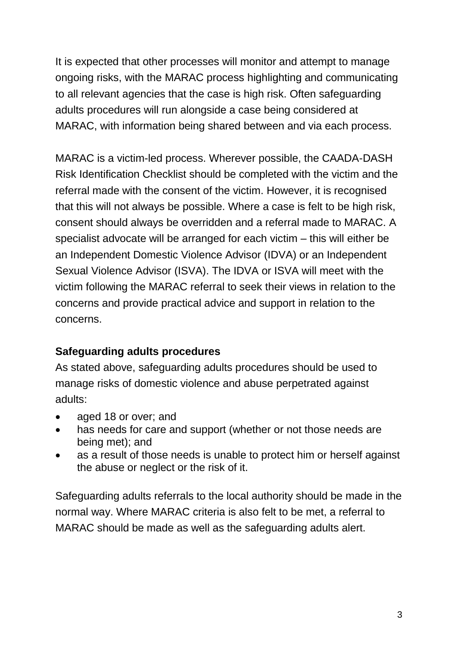It is expected that other processes will monitor and attempt to manage ongoing risks, with the MARAC process highlighting and communicating to all relevant agencies that the case is high risk. Often safeguarding adults procedures will run alongside a case being considered at MARAC, with information being shared between and via each process.

MARAC is a victim-led process. Wherever possible, the CAADA-DASH Risk Identification Checklist should be completed with the victim and the referral made with the consent of the victim. However, it is recognised that this will not always be possible. Where a case is felt to be high risk, consent should always be overridden and a referral made to MARAC. A specialist advocate will be arranged for each victim – this will either be an Independent Domestic Violence Advisor (IDVA) or an Independent Sexual Violence Advisor (ISVA). The IDVA or ISVA will meet with the victim following the MARAC referral to seek their views in relation to the concerns and provide practical advice and support in relation to the concerns.

#### **Safeguarding adults procedures**

As stated above, safeguarding adults procedures should be used to manage risks of domestic violence and abuse perpetrated against adults:

- aged 18 or over; and
- has needs for care and support (whether or not those needs are being met); and
- as a result of those needs is unable to protect him or herself against the abuse or neglect or the risk of it.

Safeguarding adults referrals to the local authority should be made in the normal way. Where MARAC criteria is also felt to be met, a referral to MARAC should be made as well as the safeguarding adults alert.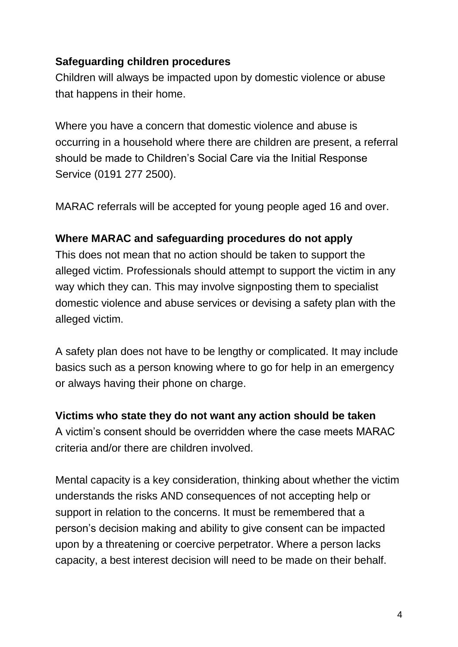### **Safeguarding children procedures**

Children will always be impacted upon by domestic violence or abuse that happens in their home.

Where you have a concern that domestic violence and abuse is occurring in a household where there are children are present, a referral should be made to Children's Social Care via the Initial Response Service (0191 277 2500).

MARAC referrals will be accepted for young people aged 16 and over.

#### **Where MARAC and safeguarding procedures do not apply**

This does not mean that no action should be taken to support the alleged victim. Professionals should attempt to support the victim in any way which they can. This may involve signposting them to specialist domestic violence and abuse services or devising a safety plan with the alleged victim.

A safety plan does not have to be lengthy or complicated. It may include basics such as a person knowing where to go for help in an emergency or always having their phone on charge.

#### **Victims who state they do not want any action should be taken**

A victim's consent should be overridden where the case meets MARAC criteria and/or there are children involved.

Mental capacity is a key consideration, thinking about whether the victim understands the risks AND consequences of not accepting help or support in relation to the concerns. It must be remembered that a person's decision making and ability to give consent can be impacted upon by a threatening or coercive perpetrator. Where a person lacks capacity, a best interest decision will need to be made on their behalf.